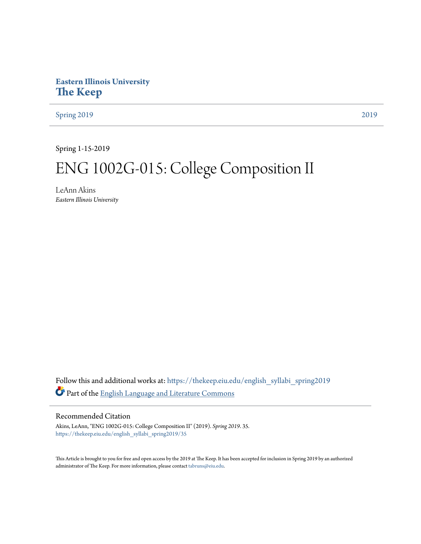# **Eastern Illinois University [The Keep](https://thekeep.eiu.edu?utm_source=thekeep.eiu.edu%2Fenglish_syllabi_spring2019%2F35&utm_medium=PDF&utm_campaign=PDFCoverPages)**

[Spring 2019](https://thekeep.eiu.edu/english_syllabi_spring2019?utm_source=thekeep.eiu.edu%2Fenglish_syllabi_spring2019%2F35&utm_medium=PDF&utm_campaign=PDFCoverPages) [2019](https://thekeep.eiu.edu/english_syllabi2019?utm_source=thekeep.eiu.edu%2Fenglish_syllabi_spring2019%2F35&utm_medium=PDF&utm_campaign=PDFCoverPages)

Spring 1-15-2019

# ENG 1002G-015: College Composition II

LeAnn Akins *Eastern Illinois University*

Follow this and additional works at: [https://thekeep.eiu.edu/english\\_syllabi\\_spring2019](https://thekeep.eiu.edu/english_syllabi_spring2019?utm_source=thekeep.eiu.edu%2Fenglish_syllabi_spring2019%2F35&utm_medium=PDF&utm_campaign=PDFCoverPages) Part of the [English Language and Literature Commons](http://network.bepress.com/hgg/discipline/455?utm_source=thekeep.eiu.edu%2Fenglish_syllabi_spring2019%2F35&utm_medium=PDF&utm_campaign=PDFCoverPages)

# Recommended Citation

Akins, LeAnn, "ENG 1002G-015: College Composition II" (2019). *Spring 2019*. 35. [https://thekeep.eiu.edu/english\\_syllabi\\_spring2019/35](https://thekeep.eiu.edu/english_syllabi_spring2019/35?utm_source=thekeep.eiu.edu%2Fenglish_syllabi_spring2019%2F35&utm_medium=PDF&utm_campaign=PDFCoverPages)

This Article is brought to you for free and open access by the 2019 at The Keep. It has been accepted for inclusion in Spring 2019 by an authorized administrator of The Keep. For more information, please contact [tabruns@eiu.edu.](mailto:tabruns@eiu.edu)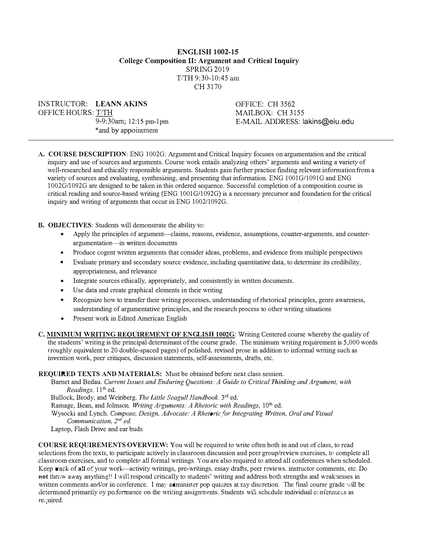# ENGLISH 1002-15 College Composition II: Argument and Critical Inquiry SPRING 2019  $T/TH$  9:30-10:45 am CH 3170

INSTRUCTOR: LEANN AKINS OFFICE HOURS: T/TH

9-9:30am; 12:15 pm-l pm \*and by appointment

OFFICE: CH 3562 MAILBOX: CH 3155 E-MAIL ADDRESS: lakins@eiu.edu

A. COURSE DESCRIPTION: ENG 1002G: Argument and Critical Inquiry focuses on argumentation and the critical inquiry and use of sources and arguments. Course work entails analyzing others' arguments and writing a variety of well-researched and ethically responsible arguments. Students gain further practice finding relevant information from a variety of sources and evaluating. synthesizing. and presenting that information. ENG 1001G/1091G and ENG 1002G/l 092G are designed to be taken in this ordered sequence. Successful completion of a composition course in critical reading and source-based writing (ENG 1001G/1092G) is a necessary precursor and foundation for the critical inquiry and writing of arguments that occur in ENG 1002/1092G.

#### B. OBJECTIVES: Students will demonstrate the ability to:

- Apply the principles of argument—claims, reasons, evidence, assumptions, counter-arguments, and counterargumentation-in written documents
- Produce cogent written arguments that consider ideas, problems, and evidence from multiple perspectives
- Evaluate primary and secondary source evidence, including quantitative data, to determine its credibility, appropriateness, and relevance
- Integrate sources ethically, appropriately, and consistently in written documents.
- Use data and create graphical elements in their writing
- Recognize how to transfer their writing processes, understanding of rhetorical principles, genre awareness, understanding of argumentative principles, and the research process to other writing situations
- Present work in Edited American English
- C. MINIMUM WRITING REQUIREMENT OF ENGLISH 1002G : Writing Centered course whereby the quality of the students' writing is the principal determinant of the course grade. The minimum writing requirement is 5,000 words (roughly equivalent to 20 double-spaced pages) of polished, revised prose in addition to informal writing such as invention work, peer critiques, discussion statements, self-assessments, drafts, etc.

#### REQUIRED TEXTS AND MATERIALS: Must be obtained before next class session.

Barnet and Bedau. Current Issues and Enduring Questions: A Guide to Critical Thinking and Argument, with Readings, l J'h ed.

Bullock, Brody, and Weinberg. The Little Seagull Handbook. 3<sup>rd</sup> ed.

Ramage, Bean, and Jolmson. Writing Arguments: A Rhetoric with Readings, 10<sup>th</sup> ed.

Wysocki and Lynch. Compose, Design, Advocate: A Rhetoric for Integrating Written, Oral and Visual Communication,  $2^{nd}$  ed.

Laptop, Flash Drive and ear buds

COURSE REQUIREMENTS OVERVIEW: You will be required to write often both in and out of class, to read selections from the texts, to participate actively in classroom discussion and peer group/review exercises, to complete all classroom exercises, and to complete all formal writings. You are also required to attend all conferences when scheduled. Keep wack of all of your work—activity writings, pre-writings, essay drafts, peer reviews. instructor comments, etc. Do not throw away anything!! I will respond critically to students' writing and address both strengths and weaknesses in written comments and/or in conference. I may administer pop quizzes at ray discretion. The final course grade will be determined primarily oy performance on the writing assignments. Students will schedule individual conferences as required.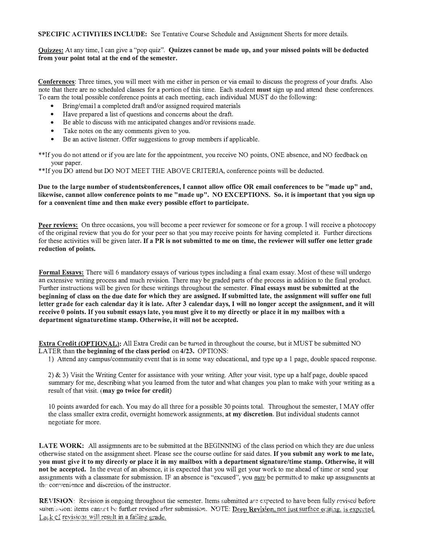SPECIFIC ACTIVITIES INCLUDE: See Tentative Course Schedule and Assignment Sheets for more details.

Quizzes: At any time, I can give a "pop quiz". Quizzes cannot be made up, and your missed points will be deducted from your point total at the end of the semester.

Conferences: Three times, you will meet with me either in person or via email to discuss the progress of your drafts. Also note that there are no scheduled classes for a portion of this time. Each student **must** sign up and attend these conferences. To earn the total possible conference points at each meeting, each individual MUST do the following:

- Bring/email a completed draft and/or assigned required materials
- Have prepared a list of questions and concerns about the draft.
- Be able to discuss with me anticipated changes and/or revisions made.
- Take notes on the any comments given to you.
- Be an active listener. Offer suggestions to group members if applicable.

\*\*If you do not attend or if you are late for tbe appointment, you receive NO points. ONE absence, and NO feedback on your paper.

\*\*If you DO attend but DO NOT MEET THE ABOVE CRITERIA, conference points will be deducted.

Due to the large number of students conferences, I cannot allow office OR email conferences to be "made up" and, likewise, cannot allow conference points to me "made up". NO EXCEPTIONS. So, it is important that you sign up for a convenient time and then make every possible effort to participate.

Peer reviews: On three occasions, you will become a peer reviewer for someone or for a group. I will receive a photocopy of the original review that you do for your peer so that you may receive points for having completed it Further directions for these activities will be given later. If a PR is not submitted to me on time, the reviewer will suffer one letter grade reduction of points.

Formal Essays: There will 6 mandatory essays of various types including a final exam essay. Most of these will undergo an extensive writing process and inuch revision. There may be graded parts of the process in addition to the final product. Further instructions will be given for these writings throughout the semester. Final essays must be submitted at the beginning of class on the due date for which they are assigned. If submitted late, the assignment will suffer one full letter grade for each calendar day it is late. After 3 calendar days, I will no longer accept the assignment, and it will receive 0 points. If you submit essays late, you must give it to my directly or place it in my mailbox with a department signature/time stamp. Otherwise, it will not be accepted.

Extra Credit (OPTIONAL): All Extra Credit can be turned in throughout the course, but it MUST be submitted NO LATER than the beginning of the class period on 4/23. OPTIONS:

!) Attend any campus/community event that is in some way educational, and type up al page, double spaced response.

2) & 3) Visit the Writing Center for assistance with your writing. After your visit, type up a half page, double spaced summary for me, describing what you learned from the tutor and what changes you plan to make with your writing as a result of that visit. (may go twice for credit)

10 points awarded for each. You may do all three for a possible 30 points total. Throughout the semester, I MAY offer the class smaller extra credit, overnight homework assignments, at my discretion. But individual students cannot negotiate for more.

LATE WORK: All assigmnents are to be submitted at the BEGINNING of the class period on which they are due unless otherwise stated on the assignment sheet. Please see the course outline for said dates. If you submit any work to me late, you must give it to my directly or place it in my mailbox with a department signature/ time stamp. Otherwise, it will not be accepted. In the event of an absence, it is expected that you will get your work to me ahead of time or send your assignments with a classmate for submission. IF an absence is "excused", you  $may$  be permitted to make up assignments at the convenience and discretion of the instructor.

REVISION: Revision is ongoing throughout the semester. Items submitted are expected to have been fully revised before submission: items cannot be further revised after submission. NOTE: Deep Revision, not just surface editing, is expected. Lack  $c_i^c$  revisions will result in a failing grade.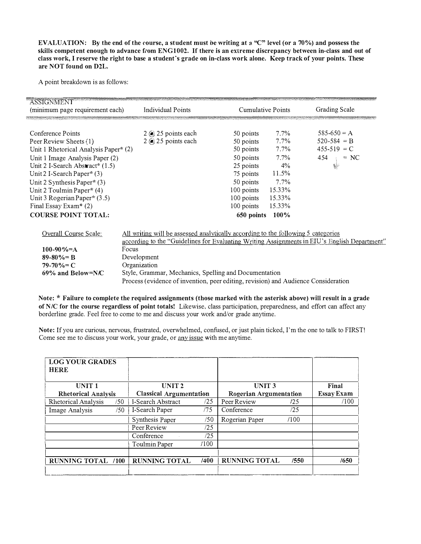EVALUATION: By the end of the rourse, a student must be writing at a "C" level (or a 70%) and possess the skills competent enough to advance from ENG1002. If there is an extreme discrepancy between in-class and out of class work, I reserve the right to base a student's grade on in-class work alone. Keep track of your points. These are NOT found on D2L.

A point breakdown is as follows:

| <b>ASSIGNMENT</b><br>(minimum page requirement each) | <b>Individual Points</b>                                                                     | <b>Cumulative Points</b> |         | Grading Scale   |  |
|------------------------------------------------------|----------------------------------------------------------------------------------------------|--------------------------|---------|-----------------|--|
|                                                      |                                                                                              |                          |         |                 |  |
| Conference Points                                    | $2$ (e) 25 points each                                                                       | 50 points                | $7.7\%$ | $585-650 = A$   |  |
| Peer Review Sheets (1)                               | $2$ (e) 25 points each                                                                       | 50 points                | $7.7\%$ | $520 - 584 = B$ |  |
| Unit 1 Rhetorical Analysis Paper* (2)                |                                                                                              | 50 points                | $7.7\%$ | $455-519 = C$   |  |
| Unit 1 Image Analysis Paper (2)                      |                                                                                              | 50 points                | $7.7\%$ | 454<br>$= NC$   |  |
| Unit 2 I-Search Abstract* (1.5)                      |                                                                                              | 25 points                | $4\%$   |                 |  |
| Unit 2 I-Search Paper* (3)                           |                                                                                              | 75 points                | 11.5%   |                 |  |
| Unit 2 Synthesis Paper* $(3)$                        |                                                                                              | 50 points                | $7.7\%$ |                 |  |
| Unit 2 Toulmin Paper* (4)                            |                                                                                              | 100 points               | 15.33%  |                 |  |
| Unit 3 Rogerian Paper* (3.5)                         |                                                                                              | 100 points               | 15.33%  |                 |  |
| Final Essay Exam* (2)                                |                                                                                              | 100 points               | 15.33%  |                 |  |
| <b>COURSE POINT TOTAL:</b>                           |                                                                                              | 650 points               | $100\%$ |                 |  |
|                                                      |                                                                                              |                          |         |                 |  |
| Overall Course Scale;                                | All writing will be assessed analytically according to the following 5 categories            |                          |         |                 |  |
|                                                      | according to the "Guidelines for Evaluating Writing Assignments in EIU's English Department" |                          |         |                 |  |
| $100-90\% = A$                                       | Focus                                                                                        |                          |         |                 |  |
| $89 - 80\% = B$                                      | Development                                                                                  |                          |         |                 |  |
| $79 - 70\% = C$                                      | Organization                                                                                 |                          |         |                 |  |
| $69\%$ and Below=N/C                                 | Style, Grammar, Mechanics, Spelling and Documentation                                        |                          |         |                 |  |
|                                                      | Process (evidence of invention, peer editing, revision) and Audience Consideration           |                          |         |                 |  |
|                                                      |                                                                                              |                          |         |                 |  |

Note: \* Failure to complete the required assignments (those marked with the asterisk above) will result in a grade of N/C for the course regardless of point totals! Likewise, class participation, preparedness, and effort can affect any borderline grade. Feel free to come to me and discuss your work and/or grade anytime.

Note: lf you are curious, nervous, frustrated, overwhelmed, confused, or just plain ticked, I'm the one to talk to FIRST! Come see me to discuss your work, your grade, or any issue with me anytime.

| <b>LOG YOUR GRADES</b><br><b>HERE</b> |                                                                 |      |                      |                   |       |
|---------------------------------------|-----------------------------------------------------------------|------|----------------------|-------------------|-------|
| <b>UNIT1</b>                          | UNIT <sub>2</sub>                                               |      | UNIT <sub>3</sub>    |                   | Final |
| <b>Rhetorical Analysis</b>            | <b>Rogerian Argumentation</b><br><b>Classical Argumentation</b> |      |                      | <b>Essay Exam</b> |       |
| Rhetorical Analysis<br>/50            | I-Search Abstract                                               | /25  | Peer Review          | 125               | /100  |
| /50<br>Image Analysis                 | I-Search Paper                                                  | /75  | Conference           | /25               |       |
|                                       | Synthesis Paper                                                 | /50  | Rogerian Paper       | /100              |       |
|                                       | Peer Review                                                     | /25  |                      |                   |       |
|                                       | Conference                                                      | /25  |                      |                   |       |
|                                       | Toulmin Paper                                                   | /100 |                      |                   |       |
|                                       |                                                                 |      |                      |                   |       |
| <b>RUNNING TOTAL /100</b>             | <b>RUNNING TOTAL</b>                                            | /400 | <b>RUNNING TOTAL</b> | /550              | /650  |
|                                       |                                                                 |      |                      |                   |       |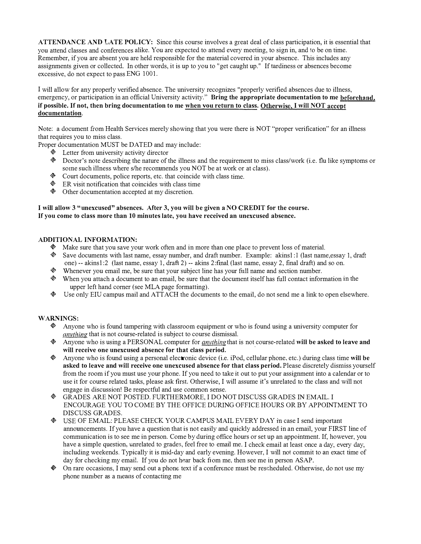ATTENDANCE AND LATE POLICY: Since this course involves a great deal of class participation, it is essential that you attend classes and conferences alike. You are expected to attend every meeting, to sign in, and to be on time. Remember, if you are absent you are held responsible for the material covered in your absence. This includes any assignments given or collected. In other words, it is up to you to "get caught up." If tardiness or absences become excessive, do not expect to pass ENG 1001.

I will allow for any properly verified absence. The university recognizes "properly verified absences due to illness, emergency, or participation in an official University activity." Bring the appropriate documentation to me beforehand, if possible. If not, then bring documentation to me when von return to class. Otherwise, I will NOT accept documentation.

Note: a document from Health Services merely showing that you were there is NOT "proper verification" for an illness that requires you to miss class.

Proper documentation MUST be DATED and may include:

- $\triangle$  Letter from university activity director
- Doctor's note describing the nature of the illness and the requirement to miss class/work (i.e. flu like symptoms or some such illness where s/he recommends you NOT be at work or at class).
- Court documents, police reports, etc. that coincide with class time.
- $\otimes$  ER visit notification that coincides with class time
- $\textcircled{a}$  Other documentation accepted at my discretion.

#### I will allow 3 " unexcused" absences. After 3, you will be given a NO CREDIT for the course. If you come to class more than 10 minutes late, you have received an unexcused absence.

#### ADDITIONAL INFORMATION:

- $\triangle$  Make sure that you save your work often and in more than one place to prevent loss of material.
- + Save documents with last name, essay number, and draft number. Example: akinsl: I (last name,essay 1, draft one) -- akins l :2 (last name, essay 1, draft 2) -- akins 2:final (last name, essay 2, final draft) and so on.
- + Whenever you email me, be sure that your subject line has your full name and section number.
- + When you attach a document to au email, be sure that the document itself has full contact information in the upper left hand comer (see MLA page formatting).
- + Use only EIU campus mail and ATTACH the documents to the email, do not send me a link to open elsewhere.

#### WARNINGS:

- $\otimes$  Anyone who is found tampering with classroom equipment or who is found using a university computer for anything that is not course-related is subject to course dismissal.
- Anyone who is using a PERSONAL computer for *anything* that is not course-related will be asked to leave and will receive one unexcused absence for that class period.
- $\bullet$  Anyone who is found using a personal electronic device (i.e. iPod, cellular phone, etc.) during class time will be asked to leave and will receive one unexcused absence for that class period. Please discretely dismiss yourself from the room if you must use your phone. If you need to take it out to put your assignment into a calendar or to use it for course related tasks, please ask first. Otherwise, I will assume it's unrelated to the class and will not engage in discussion! Be respectful and use common sense.
- + GRADES ARE NOT POSTED. FURTHERMORE, I DO NOT DISCUSS GRADES IN EMAIL. I ENCOURAGE YOU TO COME BY THE OFFICE DURJNG OFFICE HOURS OR BY APPOINTMENT TO DISCUSS GRADES.
- + USE OF EMAIL: PLEASE CHECK YOUR CAMPUS MAIL EVERY DAY in case I send important announcements. If you have a question that is not easily and quickly addressed in an email, your FIRST line of communication is to see me in person. Come by during office hours or set up an appointment. If, however, you have a simple question, unrelated to grades, feel free to email me. I check email at least once a day, every day, including weekends. Typically it is mid-day and early evening. However, I will not commit to an exact time of day for checking my email. If you do not hear back from me, then see me in person ASAP.
- � On rare occasions, I may send out a phone text if a conference n1ust be rescheduled. Otherwise, do not use my phone number as a means of contacting me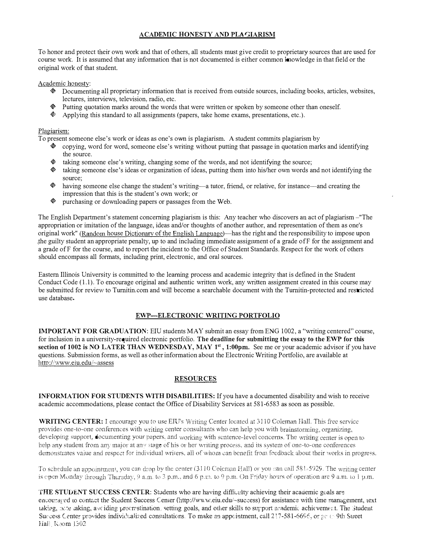## ACADEMIC HONESTY AND PLAGIARISM

To honor and protect their own work and that of others, all students must give credit to proprietary sources that are used for course work. It is assumed that any information that is not documented is either common knowledge in that field or the original work of that student.

Academic honesty:

- Documenting all proprietary information that is received from outside sources, including books, articles, websites, lectures, interviews, television, radio, etc.
- Putting quotation marks around the words that were written or spoken by someone other thau oneself.
- $\&$  Applying this standard to all assignments (papers, take home exams, presentations, etc.).

#### Plagiarism:

To present someone else's work or ideas as one's own is plagiarism. A student commits plagiarism by

- $\bullet$  copying, word for word, someone else's writing without putting that passage in quotation marks and identifying the source.
- $*$  taking someone else's writing, changing some of the words, and not identifying the source;
- $*$  taking someone else's ideas or organization of ideas, putting them into his/her own words and not identifying the source;
- $\lozenge$  having someone else change the student's writing—a tutor, friend, or relative, for instance—and creating the impression that this is the student's own work; or
- + purchasing or downloading papers or passages from the Web.

The English Department's statement concerning plagiarism is this: Any teacher who discovers an act of plagiarism-"The appropriation or imitation of the language, ideas and/or thoughts of another author, and representation of them as one's original work" (Random house Dictionary of the English Language)—has the right and the responsibility to impose upon the guilty student an appropriate penalty, up to and including immediate assignment of a grade of F for the assignment and a grade ofF for the course, and to report the incident to the Office of Student Standards. Respect for the work of others should encompass all formats, including print, electronic, and oral sources.

Eastern Illinois University is committed to the learning process and academic integrity that is defined in the Student Conduct Code  $(1.1)$ . To encourage original and authentic written work, any written assignment created in this course may be submitted for review to Turnitin.com and will become a searchable document with the Turnitin-protected and restricted use database.

## EWP-ELECTRONIC WRITING PORTFOLIO

IMPORTANT FOR GRADUATION: EIU students MAY submit an essay from ENG 1002, a "writing centered" course, for inclusion in a university-required electronic portfolio. The deadline for submitting the essay to the EWP for this section of 1002 is NO LATER THAN WEDNESDAY, MAY 1<sup>st</sup>, 1:00pm. See me or your academic advisor if you have questions. Submission forms, as well as other information about the Electronic Writing Portfolio, are available at http://www.eiu.edu/~assess

#### RESOURCES

INFORMATION FOR STUDENTS WITH DISABILITIES: If you have a documented disability and wish to receive academic accommodations, please contact the Office of Disability Services at 581-6583 as soon as possible.

WRITING CENTER: I encourage you to use EIU's Writing Center located at 3110 Coleman Hall. This free service provides one-to-one conferences with writing center consultants who can help you with brainstorming, organizing, developing support, documenting your papers, and working with sentence-level concerns. The writing center is open to help any student from any major at any stage of his or her writing process, and its system of one-to-one conferences demonstrates value and respect for individual writers, all of whom can benefit from feedback about their works in progress.

To schedule an appointment, you can drop by the center  $(3110$  Coleman Hall) or you can call  $581-5929$ . The writing center is open Monday through Thursday, 9 a.m. to 3 p.m., and 6 p.m. to 9 p.m. On Friday hours of operation are 9 a.m. to 1 p.m.

THE STUDENT SUCCESS CENTER: Students who are having difficulty achieving their academic goals are encouraced to contact the Student Success Center (http://www.eiu.edu/~success) for assistance with time management, text taking, note laking, aveiding procrestination, setting goals, and other skills to support academic achievement. The Student Success Center provides individualized consultations. To make an appcintment, call 2!7-581-669€, or ge to 9th Street Hall Room 1302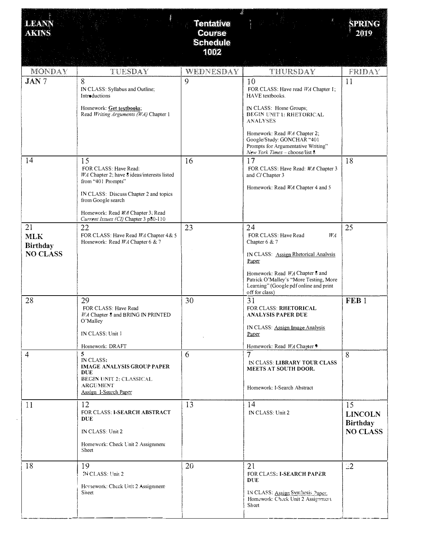| <b>LEANN</b><br><b>AKINS</b> |                                                                                                   | <b>Tentative</b><br><b>Course</b><br><b>Schedule</b> |                                                                                                                                       | SPRING<br>2019                          |
|------------------------------|---------------------------------------------------------------------------------------------------|------------------------------------------------------|---------------------------------------------------------------------------------------------------------------------------------------|-----------------------------------------|
|                              |                                                                                                   | 1002                                                 |                                                                                                                                       |                                         |
| MONDAY                       | TUESDAY                                                                                           | WEDNESDAY                                            | THURSDAY                                                                                                                              | FRIDAY                                  |
| <b>JAN7</b>                  | 8<br>IN CLASS: Syllabus and Outline;<br>Introductions                                             | 9                                                    | 10<br>FOR CLASS: Have read WA Chapter I;<br>HAVE textbooks.                                                                           | 11                                      |
|                              | Homework: Get textbooks;<br>Read Writing Arguments (WA) Chapter 1                                 |                                                      | IN CLASS: Home Groups;<br>BEGIN UNIT 1: RHETORICAL<br><b>ANALYSES</b>                                                                 |                                         |
|                              |                                                                                                   |                                                      | Homework: Read WA Chapter 2;<br>Google/Study: GONCHAR "401<br>Prompts for Argumentative Writing"<br>New York Times - choose/list 8    |                                         |
| 14                           | 15<br>FOR CLASS: Have Read:<br>IVA Chapter 2; have 8 ideas/interests listed<br>from "401 Prompts" | 16                                                   | 17<br>FOR CLASS: Have Read: WA Chapter 3<br>and CI Chapter 3                                                                          | 18                                      |
|                              | IN CLASS: Discuss Chapter 2 and topics<br>from Google search                                      |                                                      | Homework: Read WA Chapter 4 and 5                                                                                                     |                                         |
|                              | Homework: Read WA Chapter 3; Read<br>Current Issues (CI) Chapter 3 p80-110                        |                                                      |                                                                                                                                       |                                         |
| 21<br><b>MLK</b><br>Birthday | 22<br>FOR CLASS: Have Read <i>WA</i> Chapter 4 & 5<br>Homework: Read <i>WA</i> Chapter 6 & 7      | 23                                                   | 24<br>FOR CLASS: Have Read<br>$W_A$<br>Chapter 6 & 7                                                                                  | 25                                      |
| <b>NO CLASS</b>              |                                                                                                   |                                                      | IN CLASS: Assign Rhetorical Analysis<br>Paper                                                                                         |                                         |
|                              |                                                                                                   |                                                      | Homework: Read WA Chapter 8 and<br>Patrick O'Malley's "More Testing, More<br>Learning" (Google pdf online and print<br>off for class) |                                         |
| 28                           | 29<br>FOR CLASS: Have Read<br>WA Chapter 8 and BRING IN PRINTED<br>O'Malley                       | 30                                                   | 31<br>FOR CLASS: RHETORICAL<br><b>ANALYSIS PAPER DUE</b>                                                                              | FEB <sub>1</sub>                        |
|                              | IN CLASS: Unit 1                                                                                  |                                                      | IN CLASS: Assign Image Analysis<br>Paper                                                                                              |                                         |
| $\overline{4}$               | Homework: DRAFT<br>5                                                                              | 6                                                    | Homework: Read WA Chapter 9<br>7                                                                                                      | 8                                       |
|                              | IN CLASS:<br><b>IMAGE ANALYSIS GROUP PAPER</b><br><b>DUE</b><br>BEGIN UNIT 2: CLASSICAL           |                                                      | IN CLASS: LIBRARY TOUR CLASS<br>MEETS AT SOUTH DOOR.                                                                                  |                                         |
|                              | <b>ARGUMENT</b><br><b>Assign I-Search Paper</b>                                                   |                                                      | Homework: I-Search Abstract                                                                                                           |                                         |
| 11                           | 12<br>FOR CLASS: I-SEARCH ABSTRACT<br><b>DUE</b>                                                  | 13                                                   | 14<br>IN CLASS: Unit 2                                                                                                                | 15<br><b>LINCOLN</b><br><b>Birthday</b> |
|                              | IN CLASS: Unit 2                                                                                  |                                                      |                                                                                                                                       | <b>NO CLASS</b>                         |
|                              | Homework: Check Unit 2 Assignment<br>Sheet                                                        |                                                      |                                                                                                                                       |                                         |
| 18                           | 19<br>N CLASS: Unit 2                                                                             | 20                                                   | 21<br>FOR CLASS: I-SEARCH PAPER<br>DUE                                                                                                | 22                                      |
|                              | Hemework: Check Unit 2 Assignment<br>Sineet                                                       |                                                      | IN CLASS: Assign Synthesis Paper.<br>Homework: Check Unit 2 Assignment<br>Sheet                                                       |                                         |
|                              |                                                                                                   |                                                      |                                                                                                                                       |                                         |